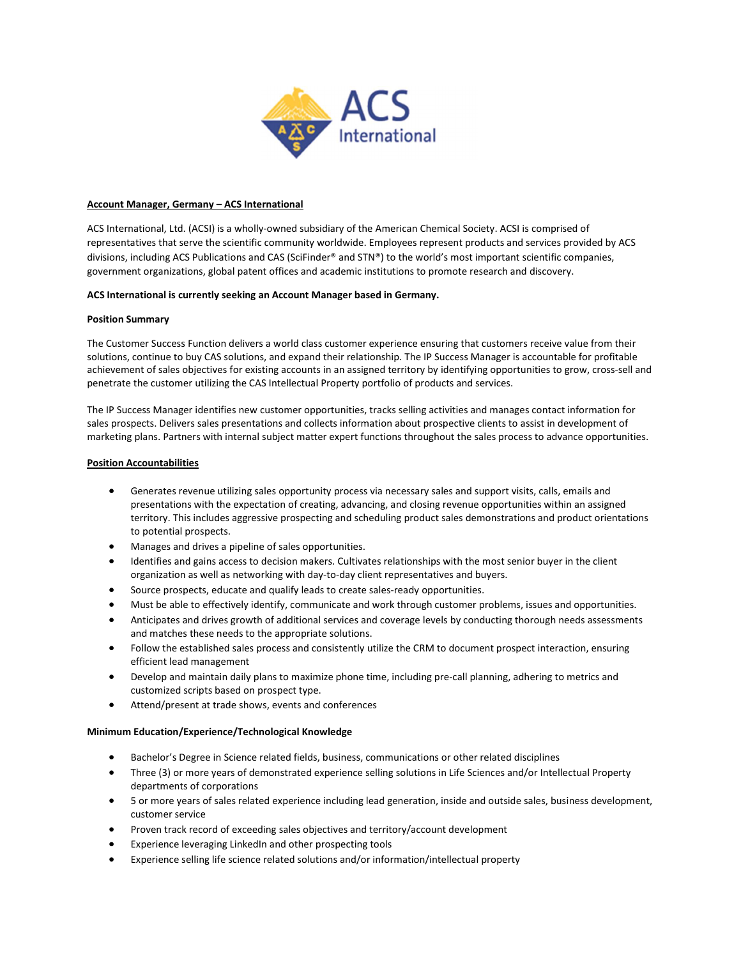

### Account Manager, Germany – ACS International

ACS International, Ltd. (ACSI) is a wholly-owned subsidiary of the American Chemical Society. ACSI is comprised of representatives that serve the scientific community worldwide. Employees represent products and services provided by ACS divisions, including ACS Publications and CAS (SciFinder® and STN®) to the world's most important scientific companies, government organizations, global patent offices and academic institutions to promote research and discovery.

# ACS International is currently seeking an Account Manager based in Germany.

### Position Summary

The Customer Success Function delivers a world class customer experience ensuring that customers receive value from their solutions, continue to buy CAS solutions, and expand their relationship. The IP Success Manager is accountable for profitable achievement of sales objectives for existing accounts in an assigned territory by identifying opportunities to grow, cross-sell and penetrate the customer utilizing the CAS Intellectual Property portfolio of products and services.

The IP Success Manager identifies new customer opportunities, tracks selling activities and manages contact information for sales prospects. Delivers sales presentations and collects information about prospective clients to assist in development of marketing plans. Partners with internal subject matter expert functions throughout the sales process to advance opportunities.

# Position Accountabilities

- Generates revenue utilizing sales opportunity process via necessary sales and support visits, calls, emails and presentations with the expectation of creating, advancing, and closing revenue opportunities within an assigned territory. This includes aggressive prospecting and scheduling product sales demonstrations and product orientations to potential prospects.
- Manages and drives a pipeline of sales opportunities.
- Identifies and gains access to decision makers. Cultivates relationships with the most senior buyer in the client organization as well as networking with day-to-day client representatives and buyers.
- Source prospects, educate and qualify leads to create sales-ready opportunities.
- Must be able to effectively identify, communicate and work through customer problems, issues and opportunities.
- Anticipates and drives growth of additional services and coverage levels by conducting thorough needs assessments and matches these needs to the appropriate solutions.
- Follow the established sales process and consistently utilize the CRM to document prospect interaction, ensuring efficient lead management
- Develop and maintain daily plans to maximize phone time, including pre-call planning, adhering to metrics and customized scripts based on prospect type.
- Attend/present at trade shows, events and conferences

## Minimum Education/Experience/Technological Knowledge

- Bachelor's Degree in Science related fields, business, communications or other related disciplines
- Three (3) or more years of demonstrated experience selling solutions in Life Sciences and/or Intellectual Property departments of corporations
- 5 or more years of sales related experience including lead generation, inside and outside sales, business development, customer service
- Proven track record of exceeding sales objectives and territory/account development
- Experience leveraging LinkedIn and other prospecting tools
- Experience selling life science related solutions and/or information/intellectual property